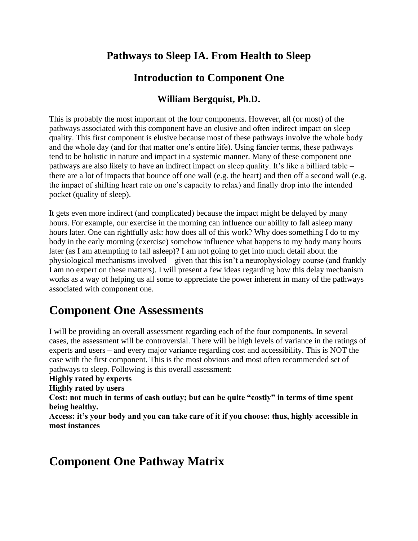### **Pathways to Sleep IA. From Health to Sleep**

#### **Introduction to Component One**

#### **William Bergquist, Ph.D.**

This is probably the most important of the four components. However, all (or most) of the pathways associated with this component have an elusive and often indirect impact on sleep quality. This first component is elusive because most of these pathways involve the whole body and the whole day (and for that matter one's entire life). Using fancier terms, these pathways tend to be holistic in nature and impact in a systemic manner. Many of these component one pathways are also likely to have an indirect impact on sleep quality. It's like a billiard table – there are a lot of impacts that bounce off one wall (e.g. the heart) and then off a second wall (e.g. the impact of shifting heart rate on one's capacity to relax) and finally drop into the intended pocket (quality of sleep).

It gets even more indirect (and complicated) because the impact might be delayed by many hours. For example, our exercise in the morning can influence our ability to fall asleep many hours later. One can rightfully ask: how does all of this work? Why does something I do to my body in the early morning (exercise) somehow influence what happens to my body many hours later (as I am attempting to fall asleep)? I am not going to get into much detail about the physiological mechanisms involved—given that this isn't a neurophysiology course (and frankly I am no expert on these matters). I will present a few ideas regarding how this delay mechanism works as a way of helping us all some to appreciate the power inherent in many of the pathways associated with component one.

# **Component One Assessments**

I will be providing an overall assessment regarding each of the four components. In several cases, the assessment will be controversial. There will be high levels of variance in the ratings of experts and users – and every major variance regarding cost and accessibility. This is NOT the case with the first component. This is the most obvious and most often recommended set of pathways to sleep. Following is this overall assessment:

#### **Highly rated by experts**

**Highly rated by users**

**Cost: not much in terms of cash outlay; but can be quite "costly" in terms of time spent being healthy.**

**Access: it's your body and you can take care of it if you choose: thus, highly accessible in most instances**

# **Component One Pathway Matrix**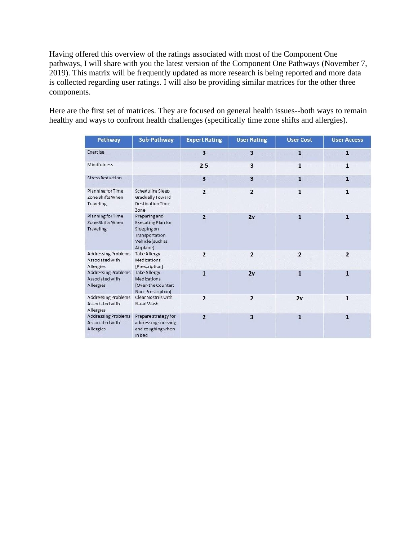Having offered this overview of the ratings associated with most of the Component One pathways, I will share with you the latest version of the Component One Pathways (November 7, 2019). This matrix will be frequently updated as more research is being reported and more data is collected regarding user ratings. I will also be providing similar matrices for the other three components.

Here are the first set of matrices. They are focused on general health issues--both ways to remain healthy and ways to confront health challenges (specifically time zone shifts and allergies).

| Pathway                                                    | Sub-Pathway                                                                                                  | <b>Expert Rating</b>    | <b>User Rating</b> | <b>User Cost</b> | <b>User Access</b> |
|------------------------------------------------------------|--------------------------------------------------------------------------------------------------------------|-------------------------|--------------------|------------------|--------------------|
| Exercise                                                   |                                                                                                              | $\overline{\mathbf{3}}$ | 3                  | $\mathbf{1}$     | $\overline{1}$     |
| Mindfulness                                                |                                                                                                              | 2.5                     | 3                  | $\mathbf{1}$     | $\mathbf{1}$       |
| <b>Stress Reduction</b>                                    |                                                                                                              | $\overline{\mathbf{3}}$ | 3                  | $\mathbf{1}$     | $\mathbf{1}$       |
| Planning for Time<br>Zone Shifts When<br>Traveling         | Scheduling Sleep<br>Gradually Toward<br><b>Destination Time</b><br>Zone                                      | $\overline{2}$          | $\overline{2}$     | $\mathbf{1}$     | $\mathbf{1}$       |
| Planning for Time<br>Zone Shifts When<br><b>Traveling</b>  | Preparing and<br><b>Executing Plan for</b><br>Sleeping on<br>Transportation<br>Vehicle (such as<br>Airplane) | $\overline{2}$          | 2v                 | $\mathbf{1}$     | $\mathbf{1}$       |
| <b>Addressing Problems</b><br>Associated with<br>Allergies | <b>Take Allergy</b><br><b>Medications</b><br>[Prescription]                                                  | $\overline{2}$          | $\overline{2}$     | $\overline{2}$   | $\overline{2}$     |
| <b>Addressing Problems</b><br>Associated with<br>Allergies | <b>Take Allergy</b><br><b>Medications</b><br>[Over-the Counter:<br>Non-Prescription]                         | $\mathbf{1}$            | 2v                 | $\mathbf{1}$     | $\mathbf{1}$       |
| <b>Addressing Problems</b><br>Associated with<br>Allergies | Clear Nostrils with<br>Nasal Wash                                                                            | $\overline{2}$          | $\overline{2}$     | 2v               | $\mathbf{1}$       |
| <b>Addressing Problems</b><br>Associated with<br>Allergies | Prepare strategy for<br>addressing sneezing<br>and coughing when<br>in bed                                   | $\overline{2}$          | 3                  | $\mathbf{1}$     | $\mathbf{1}$       |